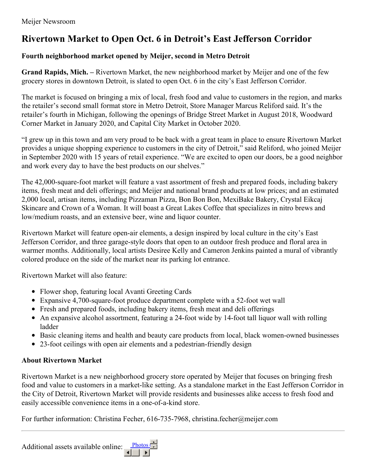## **Rivertown Market to Open Oct. 6 in Detroit's East Jefferson Corridor**

## **Fourth neighborhood market opened by Meijer, second in Metro Detroit**

**Grand Rapids, Mich. –** Rivertown Market, the new neighborhood market by Meijer and one of the few grocery stores in downtown Detroit, is slated to open Oct. 6 in the city's East Jefferson Corridor.

The market is focused on bringing a mix of local, fresh food and value to customers in the region, and marks the retailer's second small format store in Metro Detroit, Store Manager Marcus Reliford said. It's the retailer's fourth in Michigan, following the openings of Bridge Street Market in August 2018, Woodward Corner Market in January 2020, and Capital City Market in October 2020.

"I grew up in this town and am very proud to be back with a great team in place to ensure Rivertown Market provides a unique shopping experience to customers in the city of Detroit," said Reliford, who joined Meijer in September 2020 with 15 years of retail experience. "We are excited to open our doors, be a good neighbor and work every day to have the best products on our shelves."

The 42,000-square-foot market will feature a vast assortment of fresh and prepared foods, including bakery items, fresh meat and deli offerings; and Meijer and national brand products at low prices; and an estimated 2,000 local, artisan items, including Pizzaman Pizza, Bon Bon Bon, MexiBake Bakery, Crystal Eikcaj Skincare and Crown of a Woman. It will boast a Great Lakes Coffee that specializes in nitro brews and low/medium roasts, and an extensive beer, wine and liquor counter.

Rivertown Market will feature open-air elements, a design inspired by local culture in the city's East Jefferson Corridor, and three garage-style doors that open to an outdoor fresh produce and floral area in warmer months. Additionally, local artists Desiree Kelly and Cameron Jenkins painted a mural of vibrantly colored produce on the side of the market near its parking lot entrance.

Rivertown Market will also feature:

- Flower shop, featuring local Avanti Greeting Cards
- Expansive 4,700-square-foot produce department complete with a 52-foot wet wall
- Fresh and prepared foods, including bakery items, fresh meat and deli offerings
- An expansive alcohol assortment, featuring a 24-foot wide by 14-foot tall liquor wall with rolling ladder
- Basic cleaning items and health and beauty care products from local, black women-owned businesses
- 23-foot ceilings with open air elements and a pedestrian-friendly design

## **About Rivertown Market**

Rivertown Market is a new neighborhood grocery store operated by Meijer that focuses on bringing fresh food and value to customers in a market-like setting. As a standalone market in the East Jefferson Corridor in the City of Detroit, Rivertown Market will provide residents and businesses alike access to fresh food and easily accessible convenience items in a one-of-a-kind store.

For further information: Christina Fecher, 616-735-7968, christina.fecher@meijer.com